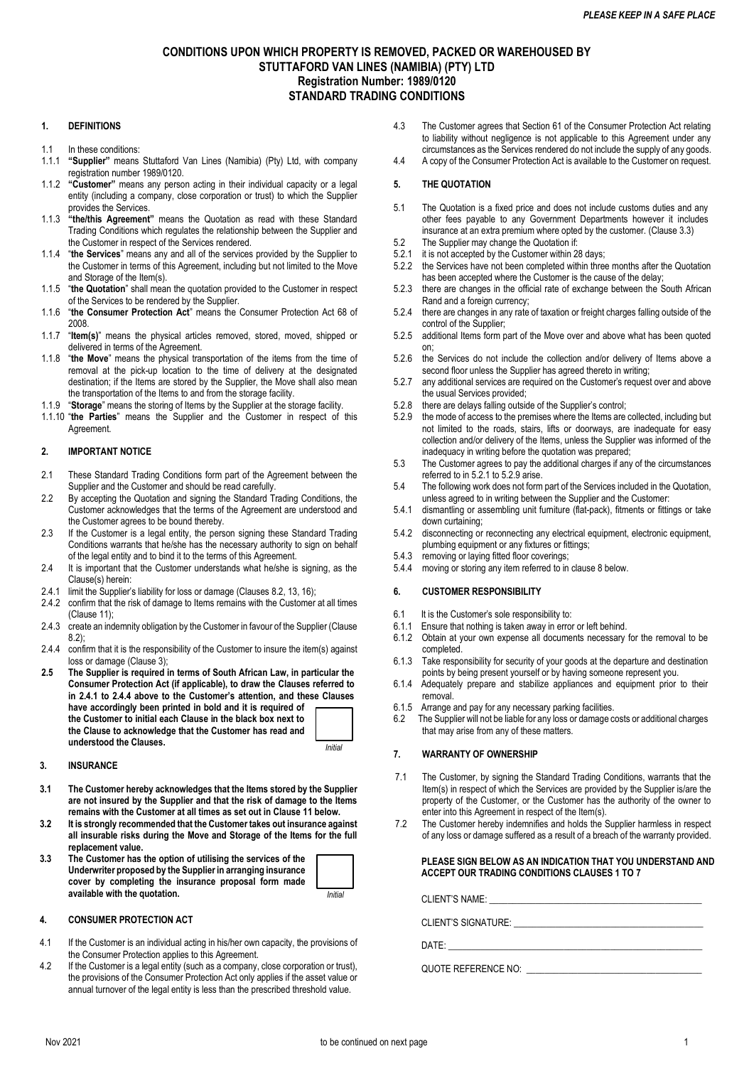# **CONDITIONS UPON WHICH PROPERTY IS REMOVED, PACKED OR WAREHOUSED BY STUTTAFORD VAN LINES (NAMIBIA) (PTY) LTD Registration Number: 1989/0120 STANDARD TRADING CONDITIONS**

# **1. DEFINITIONS**

- 1.1 In these conditions:
- 1.1.1 **"Supplier"** means Stuttaford Van Lines (Namibia) (Pty) Ltd, with company registration number 1989/0120.
- 1.1.2 **"Customer"** means any person acting in their individual capacity or a legal entity (including a company, close corporation or trust) to which the Supplier provides the Services.
- 1.1.3 **"the/this Agreement"** means the Quotation as read with these Standard Trading Conditions which regulates the relationship between the Supplier and the Customer in respect of the Services rendered.
- 1.1.4 "**the Services**" means any and all of the services provided by the Supplier to the Customer in terms of this Agreement, including but not limited to the Move and Storage of the Item(s).
- 1.1.5 "**the Quotation**" shall mean the quotation provided to the Customer in respect of the Services to be rendered by the Supplier.
- 1.1.6 "**the Consumer Protection Act**" means the Consumer Protection Act 68 of 2008.
- 1.1.7 "**Item(s)**" means the physical articles removed, stored, moved, shipped or delivered in terms of the Agreement.
- 1.1.8 "**the Move**" means the physical transportation of the items from the time of removal at the pick-up location to the time of delivery at the designated destination; if the Items are stored by the Supplier, the Move shall also mean the transportation of the Items to and from the storage facility.
- 1.1.9 "**Storage**" means the storing of Items by the Supplier at the storage facility.
- 1.1.10 "**the Parties**" means the Supplier and the Customer in respect of this **Agreement**

### **2. IMPORTANT NOTICE**

- 2.1 These Standard Trading Conditions form part of the Agreement between the Supplier and the Customer and should be read carefully.
- 2.2 By accepting the Quotation and signing the Standard Trading Conditions, the Customer acknowledges that the terms of the Agreement are understood and the Customer agrees to be bound thereby.
- 2.3 If the Customer is a legal entity, the person signing these Standard Trading Conditions warrants that he/she has the necessary authority to sign on behalf of the legal entity and to bind it to the terms of this Agreement.
- 2.4 It is important that the Customer understands what he/she is signing, as the Clause(s) herein:
- 2.4.1 limit the Supplier's liability for loss or damage (Clauses 8.2, 13, 16);
- 2.4.2 confirm that the risk of damage to Items remains with the Customer at all times (Clause 11);
- 2.4.3 create an indemnity obligation by the Customer in favour of the Supplier (Clause 8.2);
- 2.4.4 confirm that it is the responsibility of the Customer to insure the item(s) against loss or damage (Clause 3);
- **2.5 The Supplier is required in terms of South African Law, in particular the Consumer Protection Act (if applicable), to draw the Clauses referred to in 2.4.1 to 2.4.4 above to the Customer's attention, and these Clauses have accordingly been printed in bold and it is required of the Customer to initial each Clause in the black box next to the Clause to acknowledge that the Customer has read and understood the Clauses.**

*Initial*

### **3. INSURANCE**

- **3.1 The Customer hereby acknowledges that the Items stored by the Supplier are not insured by the Supplier and that the risk of damage to the Items remains with the Customer at all times as set out in Clause 11 below.**
- **3.2 It is strongly recommended that the Customer takes out insurance against all insurable risks during the Move and Storage of the Items for the full replacement value.**
- **3.3 The Customer has the option of utilising the services of the Underwriter proposed by the Supplier in arranging insurance cover by completing the insurance proposal form made available with the quotation.** *Initial*

#### **4. CONSUMER PROTECTION ACT**

- 4.1 If the Customer is an individual acting in his/her own capacity, the provisions of the Consumer Protection applies to this Agreement.
- 4.2 If the Customer is a legal entity (such as a company, close corporation or trust), the provisions of the Consumer Protection Act only applies if the asset value or annual turnover of the legal entity is less than the prescribed threshold value.
- 4.3 The Customer agrees that Section 61 of the Consumer Protection Act relating to liability without negligence is not applicable to this Agreement under any circumstances as the Services rendered do not include the supply of any goods.
- 4.4 A copy of the Consumer Protection Act is available to the Customer on request.

### **5. THE QUOTATION**

- 5.1 The Quotation is a fixed price and does not include customs duties and any other fees payable to any Government Departments however it includes insurance at an extra premium where opted by the customer. (Clause 3.3)
- 5.2 The Supplier may change the Quotation if:<br>5.2.1 it is not accepted by the Customer within 28
- it is not accepted by the Customer within 28 days;
- 5.2.2 the Services have not been completed within three months after the Quotation has been accepted where the Customer is the cause of the delay;
- 5.2.3 there are changes in the official rate of exchange between the South African Rand and a foreign currency;
- 5.2.4 there are changes in any rate of taxation or freight charges falling outside of the control of the Supplier;
- 5.2.5 additional Items form part of the Move over and above what has been quoted on;
- 5.2.6 the Services do not include the collection and/or delivery of Items above a second floor unless the Supplier has agreed thereto in writing;
- 5.2.7 any additional services are required on the Customer's request over and above the usual Services provided;
- 5.2.8 there are delays falling outside of the Supplier's control;
- 5.2.9 the mode of access to the premises where the Items are collected, including but not limited to the roads, stairs, lifts or doorways, are inadequate for easy collection and/or delivery of the Items, unless the Supplier was informed of the inadequacy in writing before the quotation was prepared;
- 5.3 The Customer agrees to pay the additional charges if any of the circumstances referred to in 5.2.1 to 5.2.9 arise.
- 5.4 The following work does not form part of the Services included in the Quotation, unless agreed to in writing between the Supplier and the Customer:
- 5.4.1 dismantling or assembling unit furniture (flat-pack), fitments or fittings or take down curtaining;
- 5.4.2 disconnecting or reconnecting any electrical equipment, electronic equipment, plumbing equipment or any fixtures or fittings;
- 5.4.3 removing or laying fitted floor coverings;
- 5.4.4 moving or storing any item referred to in clause 8 below.

### **6. CUSTOMER RESPONSIBILITY**

- 6.1 It is the Customer's sole responsibility to:<br>6.1.1 Ensure that nothing is taken away in error
- Ensure that nothing is taken away in error or left behind.
- 6.1.2 Obtain at your own expense all documents necessary for the removal to be completed.
- 6.1.3 Take responsibility for security of your goods at the departure and destination points by being present yourself or by having someone represent you.
- 6.1.4 Adequately prepare and stabilize appliances and equipment prior to their removal.
- 6.1.5 Arrange and pay for any necessary parking facilities.
- 6.2 The Supplier will not be liable for any loss or damage costs or additional charges that may arise from any of these matters.

# **7. WARRANTY OF OWNERSHIP**

- 7.1 The Customer, by signing the Standard Trading Conditions, warrants that the Item(s) in respect of which the Services are provided by the Supplier is/are the property of the Customer, or the Customer has the authority of the owner to enter into this Agreement in respect of the Item(s).
- 7.2 The Customer hereby indemnifies and holds the Supplier harmless in respect of any loss or damage suffered as a result of a breach of the warranty provided.

### **PLEASE SIGN BELOW AS AN INDICATION THAT YOU UNDERSTAND AND ACCEPT OUR TRADING CONDITIONS CLAUSES 1 TO 7**

CLIENT'S NAME:

CLIENT'S SIGNATURE: \_\_\_\_\_\_\_\_\_\_\_\_\_\_\_\_\_\_\_\_\_\_\_\_\_\_\_\_\_\_\_\_\_\_\_\_\_\_\_\_\_

 $\mathsf{DATE}\colon$ 

QUOTE REFERENCE NO: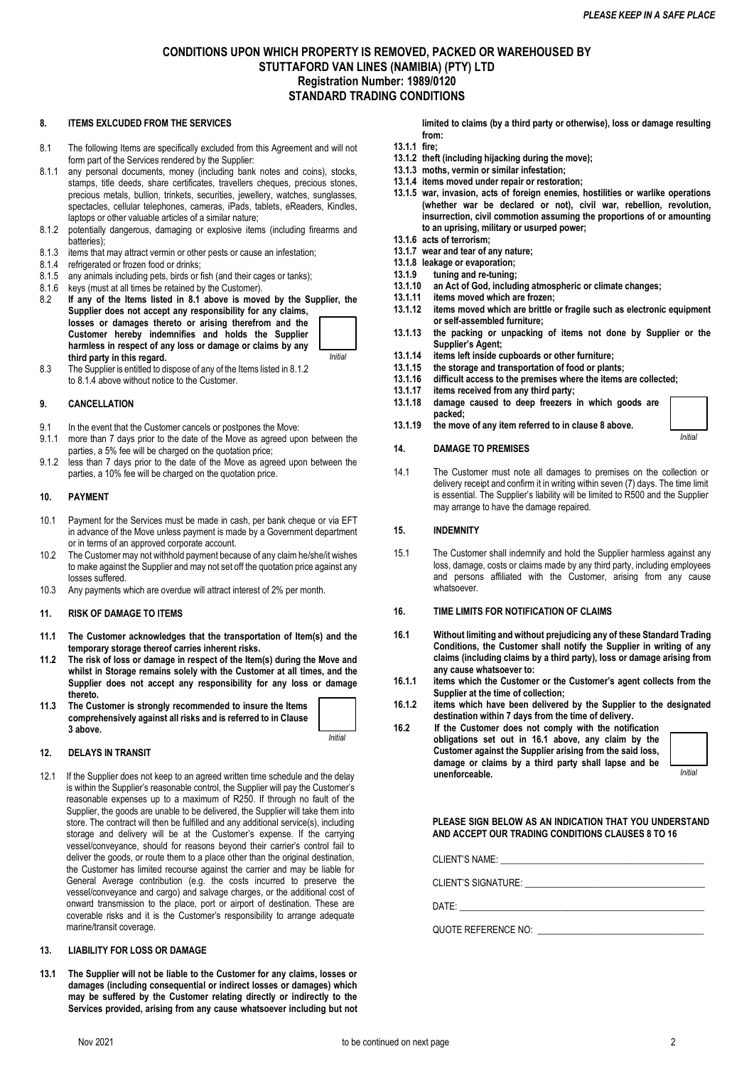# **CONDITIONS UPON WHICH PROPERTY IS REMOVED, PACKED OR WAREHOUSED BY STUTTAFORD VAN LINES (NAMIBIA) (PTY) LTD Registration Number: 1989/0120 STANDARD TRADING CONDITIONS**

### **8. ITEMS EXLCUDED FROM THE SERVICES**

- 8.1 The following Items are specifically excluded from this Agreement and will not form part of the Services rendered by the Supplier:
- 8.1.1 any personal documents, money (including bank notes and coins), stocks, stamps, title deeds, share certificates, travellers cheques, precious stones, precious metals, bullion, trinkets, securities, jewellery, watches, sunglasses, spectacles, cellular telephones, cameras, iPads, tablets, eReaders, Kindles, laptops or other valuable articles of a similar nature;
- 8.1.2 potentially dangerous, damaging or explosive items (including firearms and batteries);
- 8.1.3 items that may attract vermin or other pests or cause an infestation;
- 8.1.4 refrigerated or frozen food or drinks;
- 8.1.5 any animals including pets, birds or fish (and their cages or tanks);
- 8.1.6 keys (must at all times be retained by the Customer).<br>8.2 If any of the Items listed in 8.1 above is move
- If any of the Items listed in 8.1 above is moved by the Supplier, the **Supplier does not accept any responsibility for any claims, losses or damages thereto or arising therefrom and the Customer hereby indemnifies and holds the Supplier harmless in respect of any loss or damage or claims by any third party in this regard.**  *Initial*
- 8.3 The Supplier is entitled to dispose of any of the Items listed in 8.1.2 to 8.1.4 above without notice to the Customer.

# **9. CANCELLATION**

- 9.1 In the event that the Customer cancels or postpones the Move:
- 9.1.1 more than 7 days prior to the date of the Move as agreed upon between the parties, a 5% fee will be charged on the quotation price;
- 9.1.2 less than 7 days prior to the date of the Move as agreed upon between the parties, a 10% fee will be charged on the quotation price.

### **10. PAYMENT**

- 10.1 Payment for the Services must be made in cash, per bank cheque or via EFT in advance of the Move unless payment is made by a Government department or in terms of an approved corporate account.
- 10.2 The Customer may not withhold payment because of any claim he/she/it wishes to make against the Supplier and may not set off the quotation price against any losses suffered.
- 10.3 Any payments which are overdue will attract interest of 2% per month.

#### **11. RISK OF DAMAGE TO ITEMS**

- **11.1 The Customer acknowledges that the transportation of Item(s) and the temporary storage thereof carries inherent risks.**
- **11.2 The risk of loss or damage in respect of the Item(s) during the Move and whilst in Storage remains solely with the Customer at all times, and the Supplier does not accept any responsibility for any loss or damage thereto.**
- **11.3 The Customer is strongly recommended to insure the Items comprehensively against all risks and is referred to in Clause 3 above.**

*Initial*

#### **12. DELAYS IN TRANSIT**

12.1 If the Supplier does not keep to an agreed written time schedule and the delay is within the Supplier's reasonable control, the Supplier will pay the Customer's reasonable expenses up to a maximum of R250. If through no fault of the Supplier, the goods are unable to be delivered, the Supplier will take them into store. The contract will then be fulfilled and any additional service(s), including storage and delivery will be at the Customer's expense. If the carrying vessel/conveyance, should for reasons beyond their carrier's control fail to deliver the goods, or route them to a place other than the original destination, the Customer has limited recourse against the carrier and may be liable for General Average contribution (e.g. the costs incurred to preserve the vessel/conveyance and cargo) and salvage charges, or the additional cost of onward transmission to the place, port or airport of destination. These are coverable risks and it is the Customer's responsibility to arrange adequate marine/transit coverage.

#### **13. LIABILITY FOR LOSS OR DAMAGE**

**13.1 The Supplier will not be liable to the Customer for any claims, losses or damages (including consequential or indirect losses or damages) which may be suffered by the Customer relating directly or indirectly to the Services provided, arising from any cause whatsoever including but not** 

**limited to claims (by a third party or otherwise), loss or damage resulting from:**

- **13.1.1 fire;**
- **13.1.2 theft (including hijacking during the move);**
- **13.1.3 moths, vermin or similar infestation; 13.1.4 items moved under repair or restoration;**
- **13.1.5 war, invasion, acts of foreign enemies, hostilities or warlike operations (whether war be declared or not), civil war, rebellion, revolution, insurrection, civil commotion assuming the proportions of or amounting to an uprising, military or usurped power;**
- **13.1.6 acts of terrorism;**
- **13.1.7 wear and tear of any nature;**
- **13.1.8 leakage or evaporation; 13.1.9 tuning and re-tuning;**
- **13.1.10 an Act of God, including atmospheric or climate changes;**
- 
- **13.1.11 items moved which are frozen; 13.1.12 items moved which are brittle or fragile such as electronic equipment or self-assembled furniture;**
- **13.1.13 the packing or unpacking of items not done by Supplier or the Supplier's Agent;**
- **13.1.14 items left inside cupboards or other furniture;**
- **13.1.15 the storage and transportation of food or plants;**
- **13.1.16 difficult access to the premises where the items are collected;**
- **13.1.17 items received from any third party;**
- **13.1.18 damage caused to deep freezers in which goods are packed;**
- **13.1.19 the move of any item referred to in clause 8 above.**

### **14. DAMAGE TO PREMISES**

14.1 The Customer must note all damages to premises on the collection or delivery receipt and confirm it in writing within seven (7) days. The time limit is essential. The Supplier's liability will be limited to R500 and the Supplier may arrange to have the damage repaired.

#### **15. INDEMNITY**

15.1 The Customer shall indemnify and hold the Supplier harmless against any loss, damage, costs or claims made by any third party, including employees and persons affiliated with the Customer, arising from any cause whatsoever.

### **16. TIME LIMITS FOR NOTIFICATION OF CLAIMS**

- **16.1 Without limiting and without prejudicing any of these Standard Trading Conditions, the Customer shall notify the Supplier in writing of any claims (including claims by a third party), loss or damage arising from any cause whatsoever to:**
- **16.1.1 items which the Customer or the Customer's agent collects from the Supplier at the time of collection;**
- **16.1.2 items which have been delivered by the Supplier to the designated destination within 7 days from the time of delivery.**

**16.2 If the Customer does not comply with the notification obligations set out in 16.1 above, any claim by the Customer against the Supplier arising from the said loss, damage or claims by a third party shall lapse and be unenforceable.** 



*Initial*

**PLEASE SIGN BELOW AS AN INDICATION THAT YOU UNDERSTAND AND ACCEPT OUR TRADING CONDITIONS CLAUSES 8 TO 16**

CLIENT'S NAME:

CLIENT'S SIGNATURE:

DATE: \_\_\_\_\_\_\_\_\_\_\_\_\_\_\_\_\_\_\_\_\_\_\_\_\_\_\_\_\_\_\_\_\_\_\_\_\_\_\_\_\_\_\_\_\_\_\_\_\_\_\_\_\_

QUOTE REFERENCE NO: \_\_\_